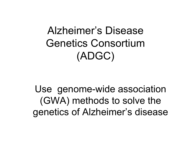Alzheimer's Disease Genetics Consortium (ADGC)

Use genome-wide association (GWA) methods to solve the genetics of Alzheimer's disease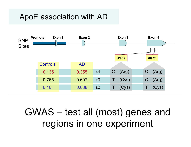# ApoE association with AD



# GWAS – test all (most) genes and regions in one experiment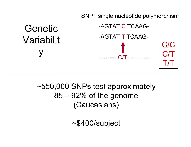

# ~550,000 SNPs test approximately 85 – 92% of the genome (Caucasians)

~\$400/subject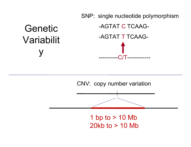#### SNP: single nucleotide polymorphism -AGTAT C TCAAG--AGTAT T TCAAG- ----------C/T------------Genetic Variabilit y

CNV: copy number variation



1 bp to  $> 10$  Mb 20kb to > 10 Mb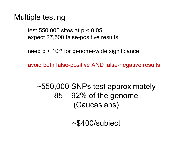# Multiple testing

test 550,000 sites at p < 0.05 expect 27,500 false-positive results

need  $p < 10^{-8}$  for genome-wide significance

avoid both false-positive AND false-negative results

~550,000 SNPs test approximately 85 – 92% of the genome (Caucasians)

~\$400/subject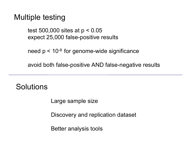# Multiple testing

test 500,000 sites at p < 0.05 expect 25,000 false-positive results

need  $p < 10^{-8}$  for genome-wide significance

avoid both false-positive AND false-negative results

**Solutions** 

Large sample size

Discovery and replication dataset

Better analysis tools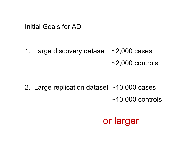Initial Goals for AD

1. Large discovery dataset ~2,000 cases  $\sim$ 2,000 controls

2. Large replication dataset ~10,000 cases  $~10,000$  controls

# or larger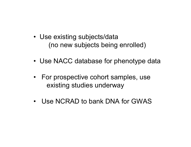- Use existing subjects/data (no new subjects being enrolled)
- Use NACC database for phenotype data
- For prospective cohort samples, use existing studies underway
- Use NCRAD to bank DNA for GWAS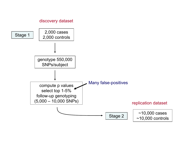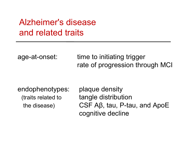# Alzheimer's disease and related traits

age-at-onset: time to initiating trigger rate of progression through MCI

endophenotypes: plaque density

(traits related to tangle distribution the disease) CSF Aβ, tau, P-tau, and ApoE cognitive decline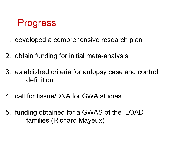

- . developed a comprehensive research plan
- 2. obtain funding for initial meta-analysis
- . established criteria for autopsy case and control definition
- 4. call for tissue/DNA for GWA studies
- 5. funding obtained for a GWAS of the LOAD families (Richard Mayeux)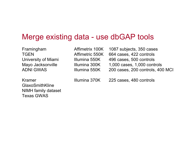### Merge existing data - use dbGAP tools

TGEN Affimetric 550KADNI GWAS Illumina 550K

GlaxoSmithKlineNIMH family dataset Texas GWAS

Framingham Affimetrix 100K 1087 subjects, 350 cases 664 cases, 422 controls University of Miami Illumina 550K 496 cases, 500 controls Mayo Jacksonville Illumina 300K 1,000 cases, 1,000 controls 200 cases, 200 controls, 400 MCI

Kramer Illumina 370K 225 cases, 480 controls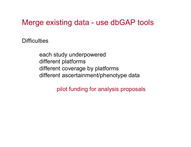# Merge existing data - use dbGAP tools

**Difficulties** 

each study underpowered different platforms different coverage by platforms different ascertainment/phenotype data

pilot funding for analysis proposals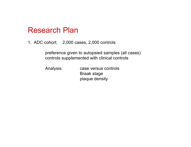1. ADC cohort; 2,000 cases, 2,000 controls

preference given to autopsied samples (all cases) controls supplemented with clinical controls

Analysis: case versus controls Braak stage plaque density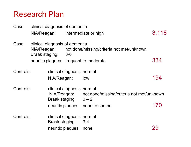| Case:     | clinical diagnosis of dementia |                                                                     |                                        |                                                      |       |  |
|-----------|--------------------------------|---------------------------------------------------------------------|----------------------------------------|------------------------------------------------------|-------|--|
|           |                                |                                                                     | NIA/Reagan: intermediate or high       |                                                      | 3,118 |  |
| Case:     |                                | clinical diagnosis of dementia<br>NIA/Reagan:<br>Braak staging: 3-6 |                                        | not done/missing/criteria not met/unknown            |       |  |
|           |                                |                                                                     | neuritic plaques: frequent to moderate |                                                      | 334   |  |
| Controls: |                                | NIA/Reagan:                                                         | clinical diagnosis normal              | low                                                  | 194   |  |
| Controls: |                                | clinical diagnosis normal<br>NIA/Reagan:<br><b>Braak staging</b>    |                                        | not done/missing/criteria not met/unknown<br>$0 - 2$ |       |  |
|           |                                |                                                                     | neuritic plaques                       | none to sparse                                       | 170   |  |
| Controls: |                                | <b>Braak staging</b>                                                | clinical diagnosis normal              | $3 - 4$                                              |       |  |
|           |                                |                                                                     | neuritic plaques                       | none                                                 | 29    |  |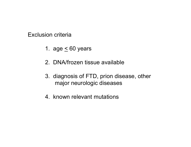Exclusion criteria

- 1. age  $\leq 60$  years
- 2. DNA/frozen tissue available
- 3. diagnosis of FTD, prion disease, other major neurologic diseases
- 4. known relevant mutations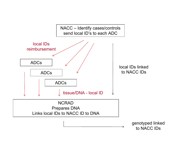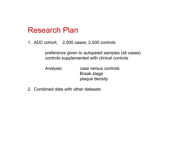1. ADC cohort; 2,000 cases, 2,000 controls

preference given to autopsied samples (all cases) controls supplemented with clinical controls

Analysis: case versus controls Braak stage plaque density

2. Combined data with other datasets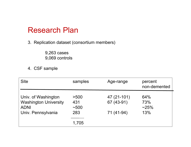3. Replication dataset (consortium members)

9,263 cases 9,069 controls

4. CSF sample

| <b>Site</b>                                                                              | samples                    | Age-range                               | percent<br>non-demented      |
|------------------------------------------------------------------------------------------|----------------------------|-----------------------------------------|------------------------------|
| Univ. of Washington<br><b>Washington University</b><br><b>ADNI</b><br>Univ. Pennsylvania | >500<br>431<br>~100<br>283 | 47 (21-101)<br>67 (43-91)<br>71 (41-94) | 64%<br>73%<br>$~25\%$<br>13% |
|                                                                                          | 1,705                      |                                         |                              |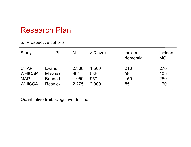#### 5. Prospective cohorts

| Study         | PI             | N     | $>$ 3 evals | incident<br>dementia | incident<br><b>MCI</b> |
|---------------|----------------|-------|-------------|----------------------|------------------------|
| <b>CHAP</b>   | Evans          | 2,300 | 1,500       | 210                  | 270                    |
| <b>WHICAP</b> | <b>Mayeux</b>  | 904   | 586         | 59                   | 105                    |
| <b>MAP</b>    | <b>Bennett</b> | 1,050 | 950         | 150                  | 250                    |
| <b>WHISCA</b> | <b>Resnick</b> | 2.275 | 2,000       | 85                   | 170                    |

Quantitative trait: Cognitive decline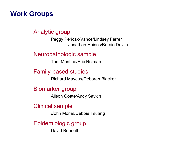#### **Work Groups**

#### Analytic group

Peggy Pericak-Vance/Lindsey Farrer Jonathan Haines/Bernie Devlin

Neuropathologic sample

Tom Montine/Eric Reiman

#### Family-based studies

Richard Mayeux/Deborah Blacker

Biomarker group

Alison Goate/Andy Saykin

Clinical sample

John Morris/Debbie Tsuang

Epidemiologic group

David Bennett